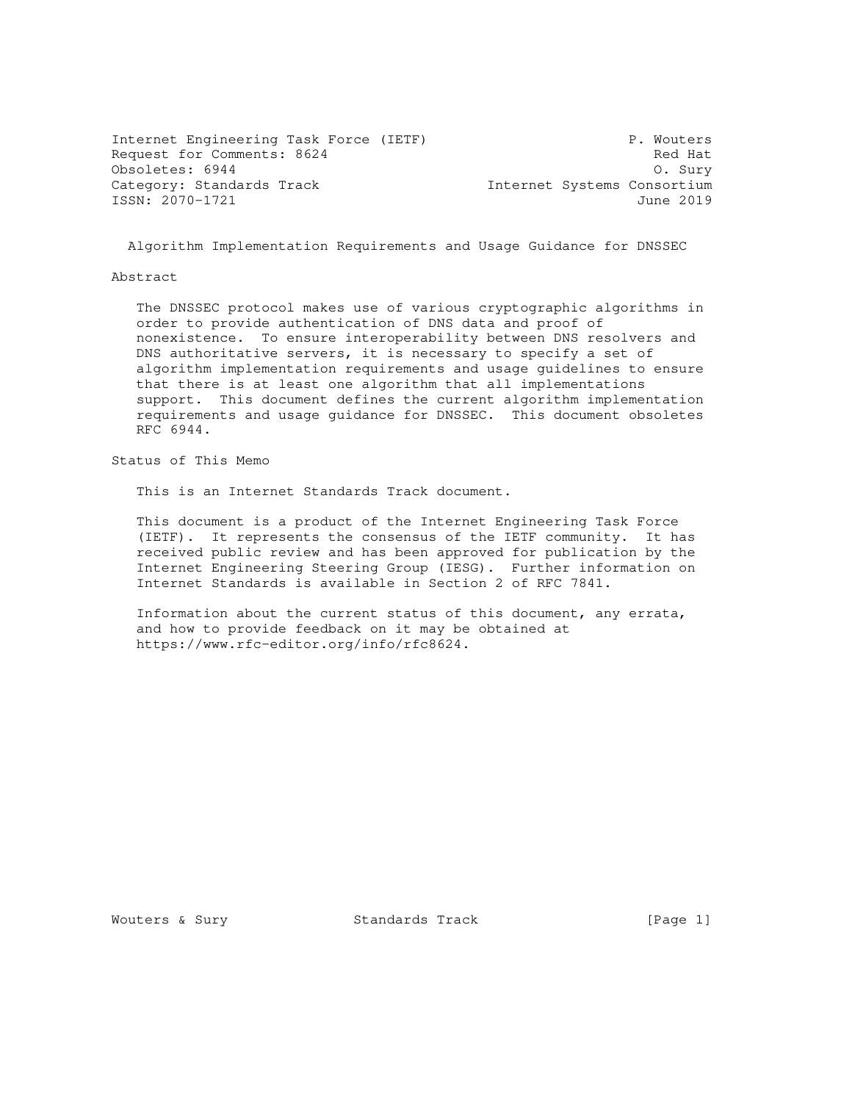Internet Engineering Task Force (IETF) P. Wouters Request for Comments: 8624 Red Hat Obsoletes: 6944 O. Sury Category: Standards Track and Internet Systems Consortium ISSN: 2070-1721 June 2019

Algorithm Implementation Requirements and Usage Guidance for DNSSEC

#### Abstract

 The DNSSEC protocol makes use of various cryptographic algorithms in order to provide authentication of DNS data and proof of nonexistence. To ensure interoperability between DNS resolvers and DNS authoritative servers, it is necessary to specify a set of algorithm implementation requirements and usage guidelines to ensure that there is at least one algorithm that all implementations support. This document defines the current algorithm implementation requirements and usage guidance for DNSSEC. This document obsoletes RFC 6944.

Status of This Memo

This is an Internet Standards Track document.

 This document is a product of the Internet Engineering Task Force (IETF). It represents the consensus of the IETF community. It has received public review and has been approved for publication by the Internet Engineering Steering Group (IESG). Further information on Internet Standards is available in Section 2 of RFC 7841.

 Information about the current status of this document, any errata, and how to provide feedback on it may be obtained at https://www.rfc-editor.org/info/rfc8624.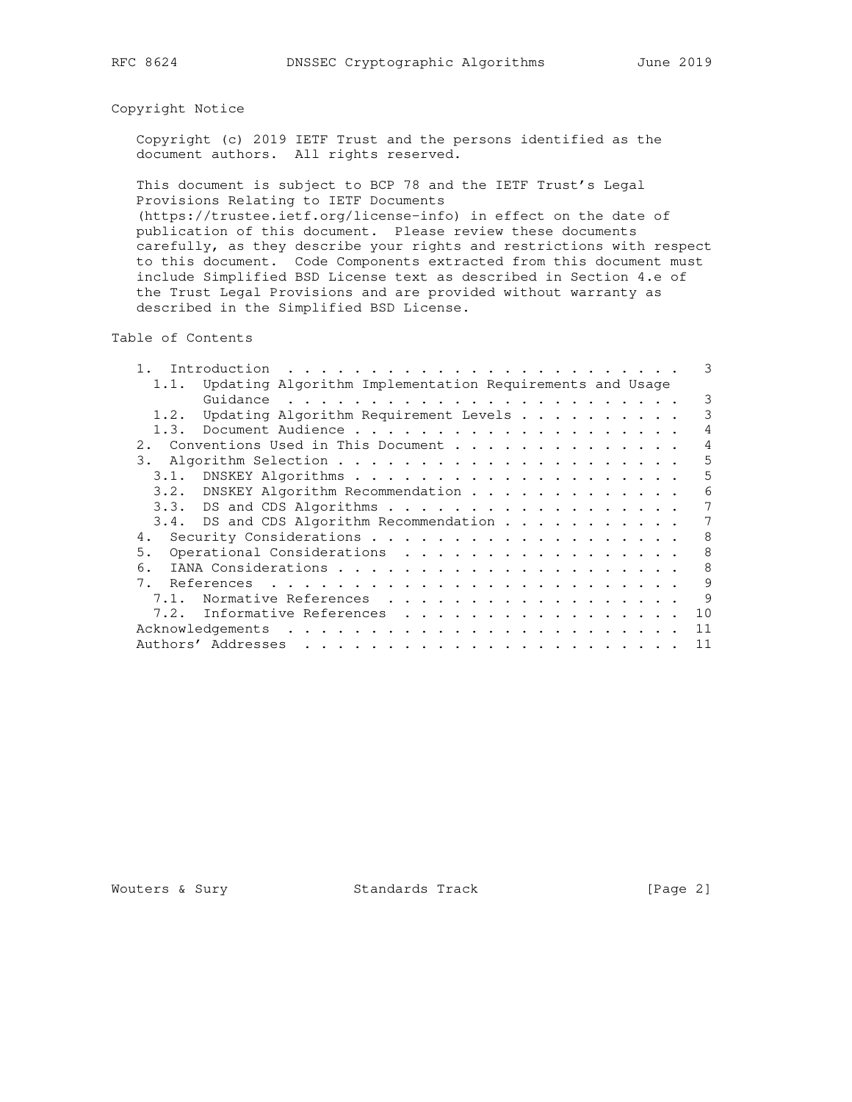# Copyright Notice

 Copyright (c) 2019 IETF Trust and the persons identified as the document authors. All rights reserved.

 This document is subject to BCP 78 and the IETF Trust's Legal Provisions Relating to IETF Documents

 (https://trustee.ietf.org/license-info) in effect on the date of publication of this document. Please review these documents carefully, as they describe your rights and restrictions with respect to this document. Code Components extracted from this document must include Simplified BSD License text as described in Section 4.e of the Trust Legal Provisions and are provided without warranty as described in the Simplified BSD License.

Table of Contents

|      | Introduction                                             | 3  |
|------|----------------------------------------------------------|----|
| 1.1. | Updating Algorithm Implementation Requirements and Usage |    |
|      |                                                          | 3  |
| 1.2. | Updating Algorithm Requirement Levels                    | 3  |
| 1.3. |                                                          | 4  |
| 2.1  | Conventions Used in This Document                        | 4  |
| 3.   |                                                          | 5  |
| 3.1. |                                                          | 5  |
| 3.2. | DNSKEY Algorithm Recommendation                          | 6  |
|      | 3.3. DS and CDS Algorithms                               | 7  |
|      | 3.4. DS and CDS Algorithm Recommendation                 |    |
| 4.   |                                                          | 8  |
| 5.   | Operational Considerations                               | 8  |
| 6.   |                                                          | 8  |
| 7.   |                                                          | 9  |
| 7.1. | Normative References                                     | 9  |
| 7.2. | Informative References                                   | 10 |
|      | Acknowledgements                                         | 11 |
|      | Authors' Addresses                                       | 11 |

Wouters & Sury Standards Track [Page 2]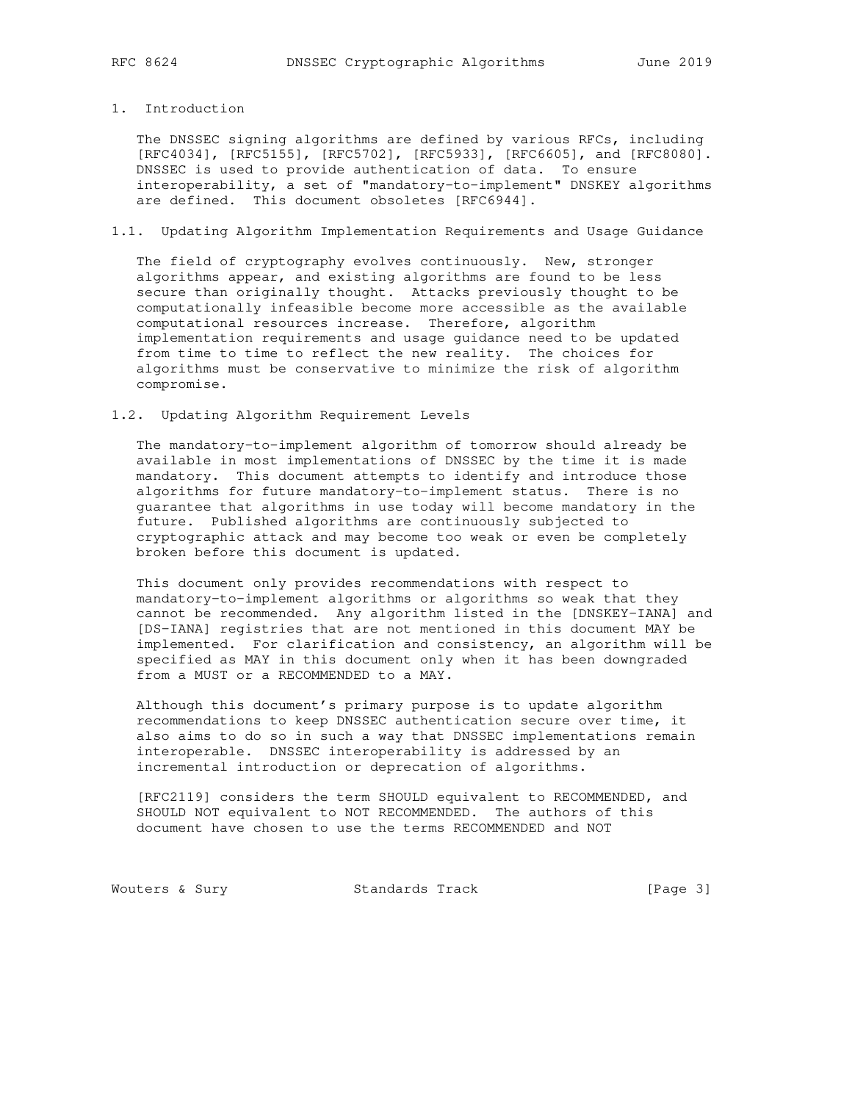## 1. Introduction

 The DNSSEC signing algorithms are defined by various RFCs, including [RFC4034], [RFC5155], [RFC5702], [RFC5933], [RFC6605], and [RFC8080]. DNSSEC is used to provide authentication of data. To ensure interoperability, a set of "mandatory-to-implement" DNSKEY algorithms are defined. This document obsoletes [RFC6944].

# 1.1. Updating Algorithm Implementation Requirements and Usage Guidance

 The field of cryptography evolves continuously. New, stronger algorithms appear, and existing algorithms are found to be less secure than originally thought. Attacks previously thought to be computationally infeasible become more accessible as the available computational resources increase. Therefore, algorithm implementation requirements and usage guidance need to be updated from time to time to reflect the new reality. The choices for algorithms must be conservative to minimize the risk of algorithm compromise.

### 1.2. Updating Algorithm Requirement Levels

 The mandatory-to-implement algorithm of tomorrow should already be available in most implementations of DNSSEC by the time it is made mandatory. This document attempts to identify and introduce those algorithms for future mandatory-to-implement status. There is no guarantee that algorithms in use today will become mandatory in the future. Published algorithms are continuously subjected to cryptographic attack and may become too weak or even be completely broken before this document is updated.

 This document only provides recommendations with respect to mandatory-to-implement algorithms or algorithms so weak that they cannot be recommended. Any algorithm listed in the [DNSKEY-IANA] and [DS-IANA] registries that are not mentioned in this document MAY be implemented. For clarification and consistency, an algorithm will be specified as MAY in this document only when it has been downgraded from a MUST or a RECOMMENDED to a MAY.

 Although this document's primary purpose is to update algorithm recommendations to keep DNSSEC authentication secure over time, it also aims to do so in such a way that DNSSEC implementations remain interoperable. DNSSEC interoperability is addressed by an incremental introduction or deprecation of algorithms.

 [RFC2119] considers the term SHOULD equivalent to RECOMMENDED, and SHOULD NOT equivalent to NOT RECOMMENDED. The authors of this document have chosen to use the terms RECOMMENDED and NOT

Wouters & Sury Standards Track [Page 3]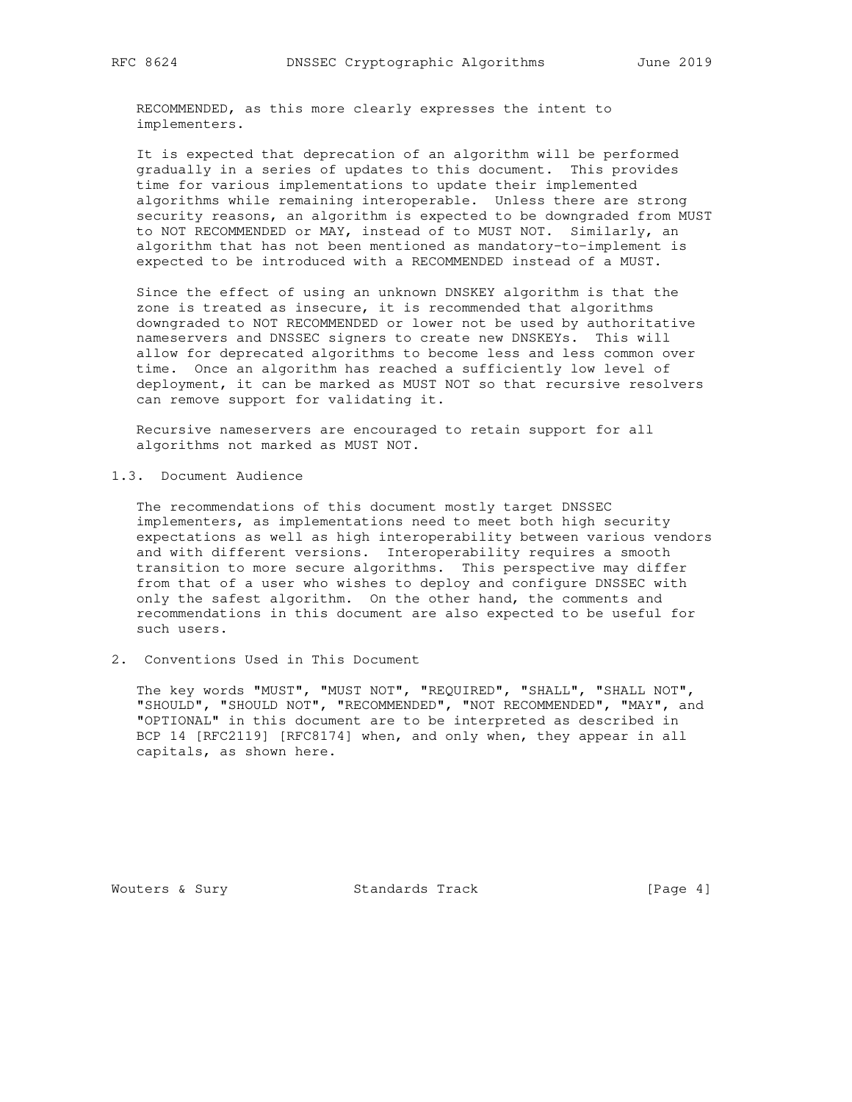RECOMMENDED, as this more clearly expresses the intent to implementers.

 It is expected that deprecation of an algorithm will be performed gradually in a series of updates to this document. This provides time for various implementations to update their implemented algorithms while remaining interoperable. Unless there are strong security reasons, an algorithm is expected to be downgraded from MUST to NOT RECOMMENDED or MAY, instead of to MUST NOT. Similarly, an algorithm that has not been mentioned as mandatory-to-implement is expected to be introduced with a RECOMMENDED instead of a MUST.

 Since the effect of using an unknown DNSKEY algorithm is that the zone is treated as insecure, it is recommended that algorithms downgraded to NOT RECOMMENDED or lower not be used by authoritative nameservers and DNSSEC signers to create new DNSKEYs. This will allow for deprecated algorithms to become less and less common over time. Once an algorithm has reached a sufficiently low level of deployment, it can be marked as MUST NOT so that recursive resolvers can remove support for validating it.

 Recursive nameservers are encouraged to retain support for all algorithms not marked as MUST NOT.

1.3. Document Audience

 The recommendations of this document mostly target DNSSEC implementers, as implementations need to meet both high security expectations as well as high interoperability between various vendors and with different versions. Interoperability requires a smooth transition to more secure algorithms. This perspective may differ from that of a user who wishes to deploy and configure DNSSEC with only the safest algorithm. On the other hand, the comments and recommendations in this document are also expected to be useful for such users.

2. Conventions Used in This Document

 The key words "MUST", "MUST NOT", "REQUIRED", "SHALL", "SHALL NOT", "SHOULD", "SHOULD NOT", "RECOMMENDED", "NOT RECOMMENDED", "MAY", and "OPTIONAL" in this document are to be interpreted as described in BCP 14 [RFC2119] [RFC8174] when, and only when, they appear in all capitals, as shown here.

Wouters & Sury Standards Track [Page 4]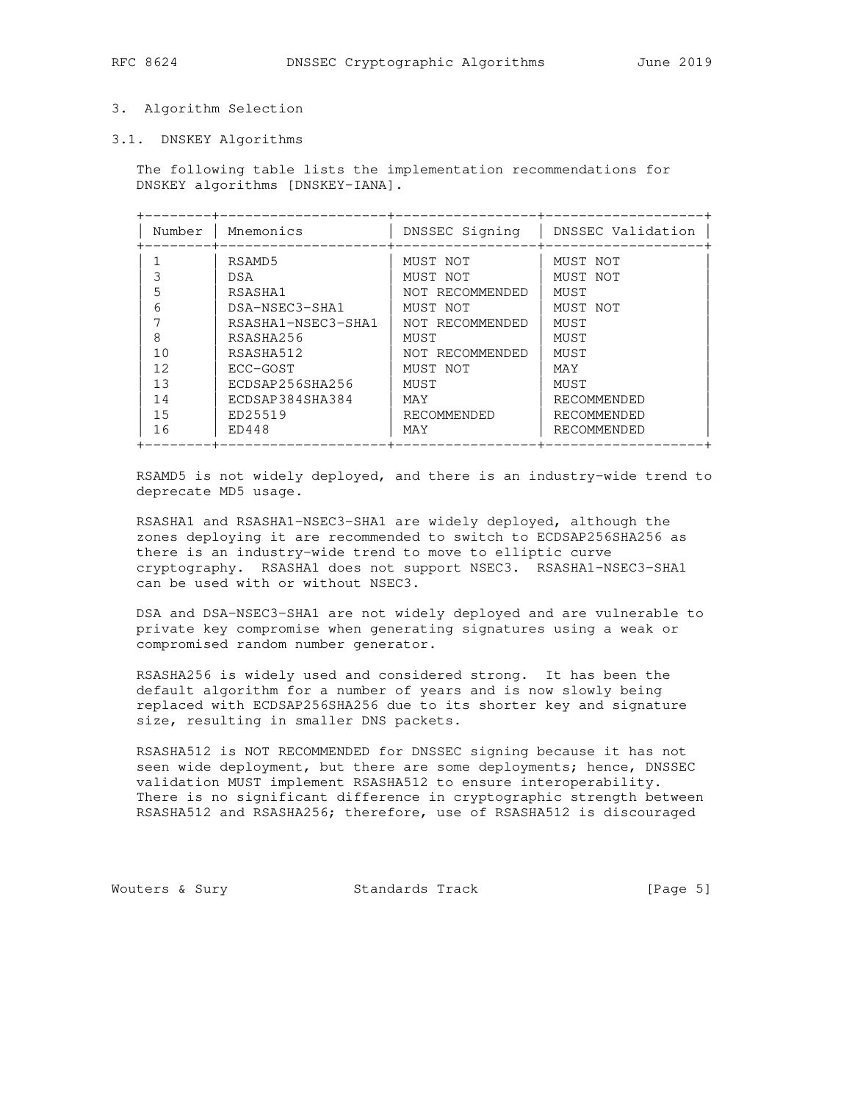### 3. Algorithm Selection

#### 3.1. DNSKEY Algorithms

 The following table lists the implementation recommendations for DNSKEY algorithms [DNSKEY-IANA].

| Number         | Mnemonics          | DNSSEC Signing  | DNSSEC Validation |
|----------------|--------------------|-----------------|-------------------|
|                | RSAMD5             | MUST NOT        | MUST NOT          |
|                | <b>DSA</b>         | MUST NOT        | MUST NOT          |
| 5              | RSASHA1            | NOT RECOMMENDED | MUST              |
| 6              | DSA-NSEC3-SHA1     | MUST NOT        | MUST NOT          |
|                | RSASHA1-NSEC3-SHA1 | NOT RECOMMENDED | MUST              |
| 8              | RSASHA256          | MUST            | MUST              |
| 1 <sub>0</sub> | RSASHA512          | NOT RECOMMENDED | MUST              |
| 12             | ECC-GOST           | MUST NOT        | MAY               |
| 13             | ECDSAP256SHA256    | MUST            | MUST              |
| 14             | ECDSAP384SHA384    | MAY             | RECOMMENDED       |
| 1.5            | ED25519            | RECOMMENDED     | RECOMMENDED       |
| 16             | ED448              | MAY             | RECOMMENDED       |

 RSAMD5 is not widely deployed, and there is an industry-wide trend to deprecate MD5 usage.

 RSASHA1 and RSASHA1-NSEC3-SHA1 are widely deployed, although the zones deploying it are recommended to switch to ECDSAP256SHA256 as there is an industry-wide trend to move to elliptic curve cryptography. RSASHA1 does not support NSEC3. RSASHA1-NSEC3-SHA1 can be used with or without NSEC3.

 DSA and DSA-NSEC3-SHA1 are not widely deployed and are vulnerable to private key compromise when generating signatures using a weak or compromised random number generator.

 RSASHA256 is widely used and considered strong. It has been the default algorithm for a number of years and is now slowly being replaced with ECDSAP256SHA256 due to its shorter key and signature size, resulting in smaller DNS packets.

 RSASHA512 is NOT RECOMMENDED for DNSSEC signing because it has not seen wide deployment, but there are some deployments; hence, DNSSEC validation MUST implement RSASHA512 to ensure interoperability. There is no significant difference in cryptographic strength between RSASHA512 and RSASHA256; therefore, use of RSASHA512 is discouraged

Wouters & Sury **Standards Track** [Page 5]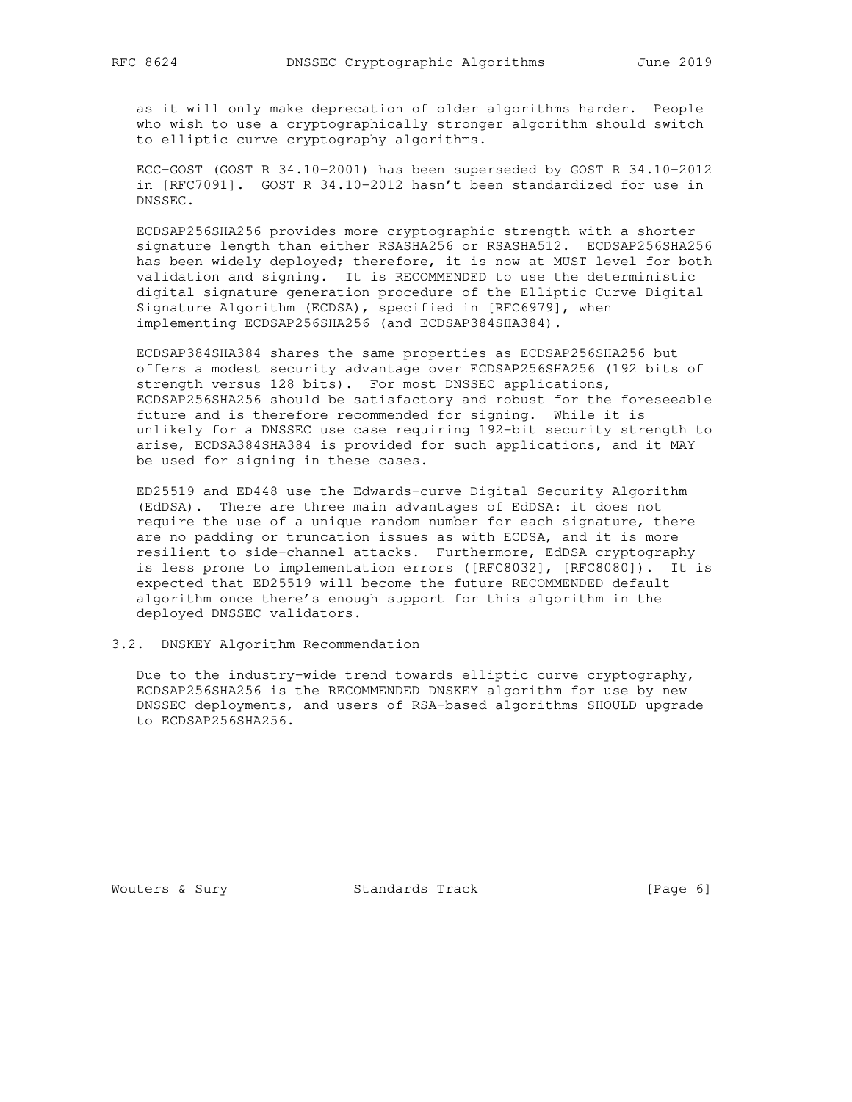as it will only make deprecation of older algorithms harder. People who wish to use a cryptographically stronger algorithm should switch to elliptic curve cryptography algorithms.

 ECC-GOST (GOST R 34.10-2001) has been superseded by GOST R 34.10-2012 in [RFC7091]. GOST R 34.10-2012 hasn't been standardized for use in DNSSEC.

 ECDSAP256SHA256 provides more cryptographic strength with a shorter signature length than either RSASHA256 or RSASHA512. ECDSAP256SHA256 has been widely deployed; therefore, it is now at MUST level for both validation and signing. It is RECOMMENDED to use the deterministic digital signature generation procedure of the Elliptic Curve Digital Signature Algorithm (ECDSA), specified in [RFC6979], when implementing ECDSAP256SHA256 (and ECDSAP384SHA384).

 ECDSAP384SHA384 shares the same properties as ECDSAP256SHA256 but offers a modest security advantage over ECDSAP256SHA256 (192 bits of strength versus 128 bits). For most DNSSEC applications, ECDSAP256SHA256 should be satisfactory and robust for the foreseeable future and is therefore recommended for signing. While it is unlikely for a DNSSEC use case requiring 192-bit security strength to arise, ECDSA384SHA384 is provided for such applications, and it MAY be used for signing in these cases.

 ED25519 and ED448 use the Edwards-curve Digital Security Algorithm (EdDSA). There are three main advantages of EdDSA: it does not require the use of a unique random number for each signature, there are no padding or truncation issues as with ECDSA, and it is more resilient to side-channel attacks. Furthermore, EdDSA cryptography is less prone to implementation errors ([RFC8032], [RFC8080]). It is expected that ED25519 will become the future RECOMMENDED default algorithm once there's enough support for this algorithm in the deployed DNSSEC validators.

## 3.2. DNSKEY Algorithm Recommendation

 Due to the industry-wide trend towards elliptic curve cryptography, ECDSAP256SHA256 is the RECOMMENDED DNSKEY algorithm for use by new DNSSEC deployments, and users of RSA-based algorithms SHOULD upgrade to ECDSAP256SHA256.

Wouters & Sury Standards Track [Page 6]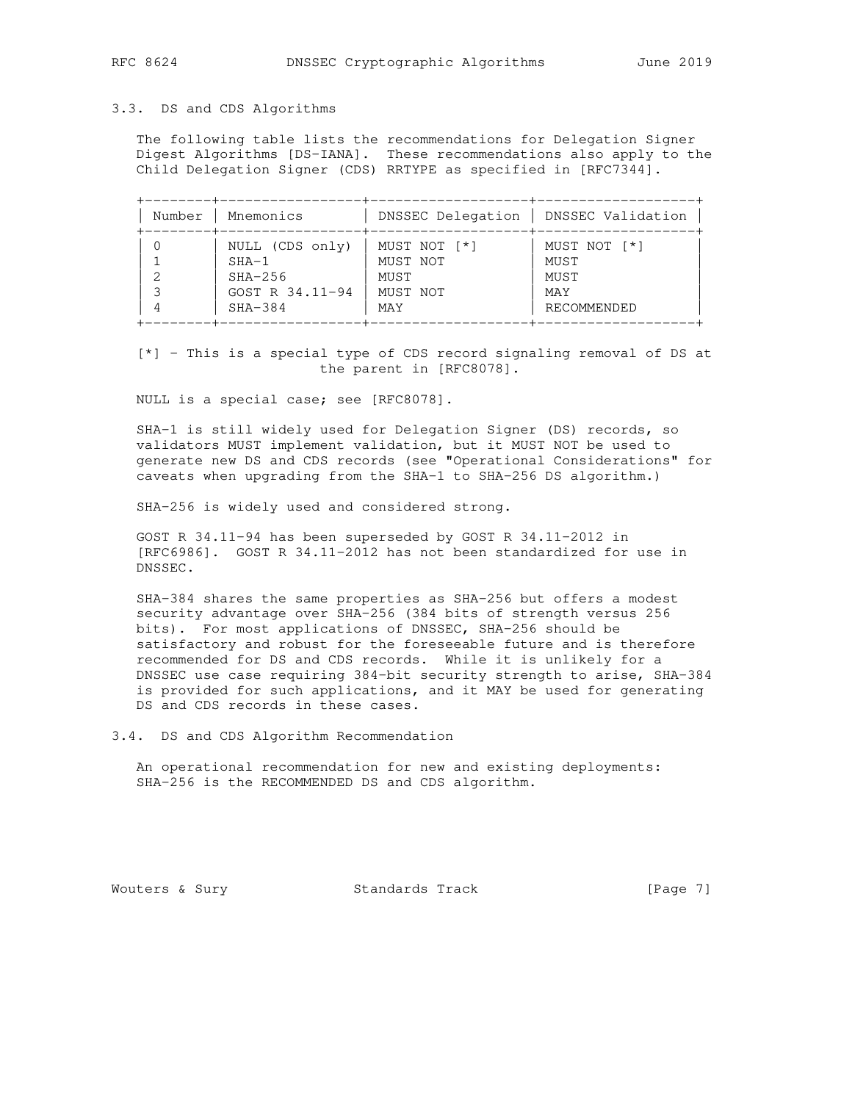# 3.3. DS and CDS Algorithms

 The following table lists the recommendations for Delegation Signer Digest Algorithms [DS-IANA]. These recommendations also apply to the Child Delegation Signer (CDS) RRTYPE as specified in [RFC7344].

| Number | Mnemonics       | DNSSEC Delegation | DNSSEC Validation |
|--------|-----------------|-------------------|-------------------|
|        | NULL (CDS only) | MUST NOT [*]      | MUST NOT [*]      |
|        | $SHA-1$         | MUST NOT          | MUST              |
|        | $SHA-256$       | MUST              | MUST              |
|        | GOST R 34.11-94 | MUST NOT          | MAY               |
|        | $SHA-384$       | MAY               | RECOMMENDED       |

 [\*] - This is a special type of CDS record signaling removal of DS at the parent in [RFC8078].

NULL is a special case; see [RFC8078].

 SHA-1 is still widely used for Delegation Signer (DS) records, so validators MUST implement validation, but it MUST NOT be used to generate new DS and CDS records (see "Operational Considerations" for caveats when upgrading from the SHA-1 to SHA-256 DS algorithm.)

SHA-256 is widely used and considered strong.

 GOST R 34.11-94 has been superseded by GOST R 34.11-2012 in [RFC6986]. GOST R 34.11-2012 has not been standardized for use in DNSSEC.

 SHA-384 shares the same properties as SHA-256 but offers a modest security advantage over SHA-256 (384 bits of strength versus 256 bits). For most applications of DNSSEC, SHA-256 should be satisfactory and robust for the foreseeable future and is therefore recommended for DS and CDS records. While it is unlikely for a DNSSEC use case requiring 384-bit security strength to arise, SHA-384 is provided for such applications, and it MAY be used for generating DS and CDS records in these cases.

3.4. DS and CDS Algorithm Recommendation

 An operational recommendation for new and existing deployments: SHA-256 is the RECOMMENDED DS and CDS algorithm.

Wouters & Sury **Standards Track** [Page 7]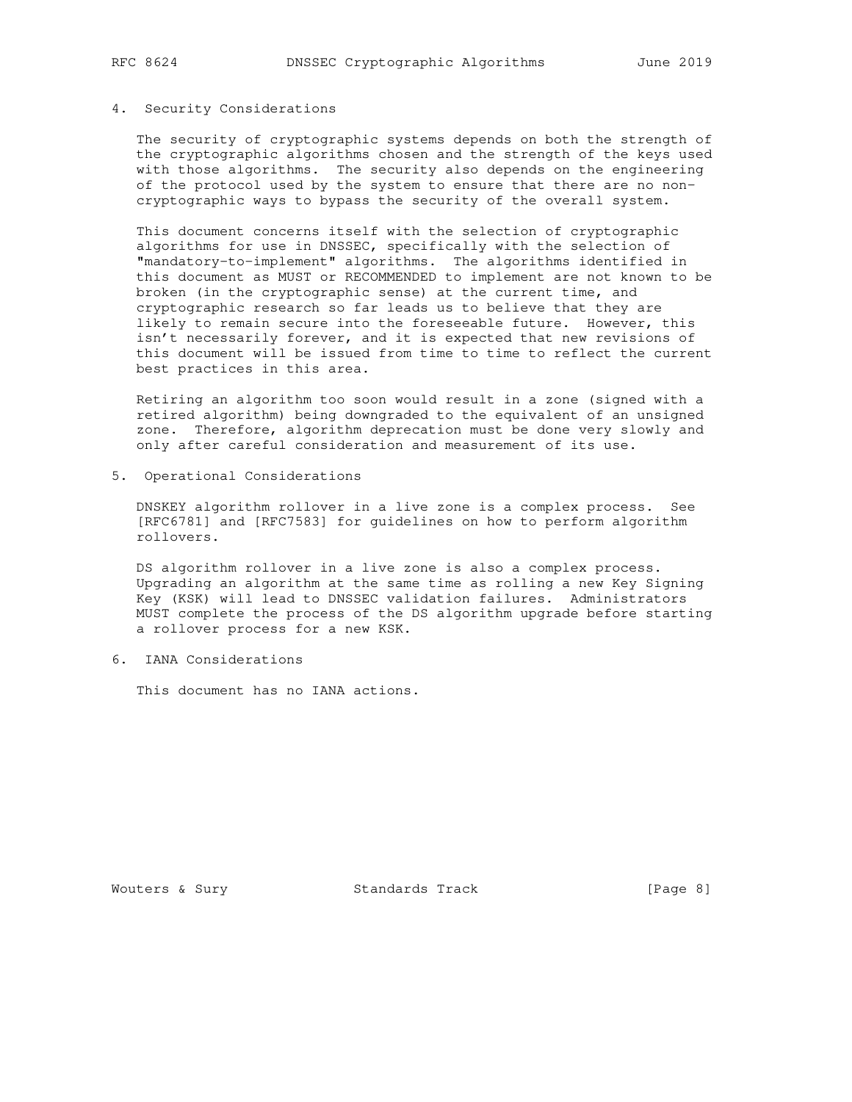# 4. Security Considerations

 The security of cryptographic systems depends on both the strength of the cryptographic algorithms chosen and the strength of the keys used with those algorithms. The security also depends on the engineering of the protocol used by the system to ensure that there are no non cryptographic ways to bypass the security of the overall system.

 This document concerns itself with the selection of cryptographic algorithms for use in DNSSEC, specifically with the selection of "mandatory-to-implement" algorithms. The algorithms identified in this document as MUST or RECOMMENDED to implement are not known to be broken (in the cryptographic sense) at the current time, and cryptographic research so far leads us to believe that they are likely to remain secure into the foreseeable future. However, this isn't necessarily forever, and it is expected that new revisions of this document will be issued from time to time to reflect the current best practices in this area.

 Retiring an algorithm too soon would result in a zone (signed with a retired algorithm) being downgraded to the equivalent of an unsigned zone. Therefore, algorithm deprecation must be done very slowly and only after careful consideration and measurement of its use.

5. Operational Considerations

 DNSKEY algorithm rollover in a live zone is a complex process. See [RFC6781] and [RFC7583] for guidelines on how to perform algorithm rollovers.

 DS algorithm rollover in a live zone is also a complex process. Upgrading an algorithm at the same time as rolling a new Key Signing Key (KSK) will lead to DNSSEC validation failures. Administrators MUST complete the process of the DS algorithm upgrade before starting a rollover process for a new KSK.

6. IANA Considerations

This document has no IANA actions.

Wouters & Sury Standards Track [Page 8]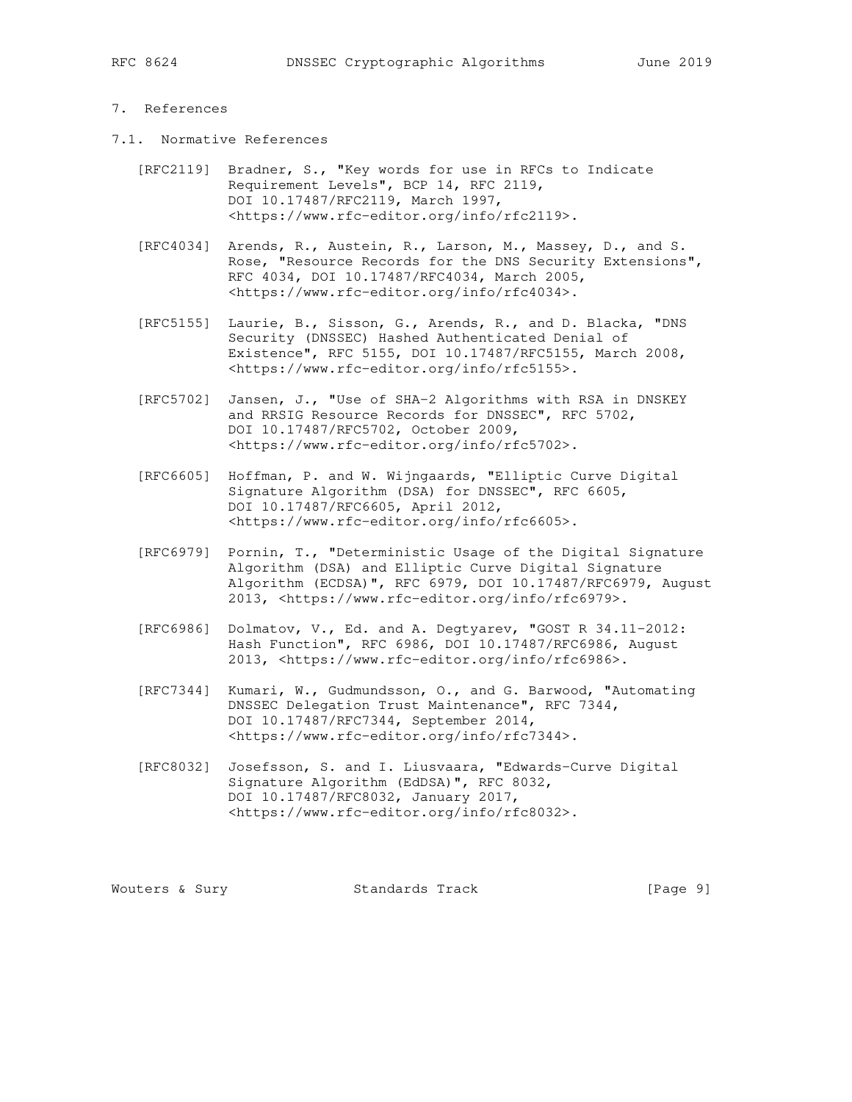# 7. References

- 7.1. Normative References
	- [RFC2119] Bradner, S., "Key words for use in RFCs to Indicate Requirement Levels", BCP 14, RFC 2119, DOI 10.17487/RFC2119, March 1997, <https://www.rfc-editor.org/info/rfc2119>.
	- [RFC4034] Arends, R., Austein, R., Larson, M., Massey, D., and S. Rose, "Resource Records for the DNS Security Extensions", RFC 4034, DOI 10.17487/RFC4034, March 2005, <https://www.rfc-editor.org/info/rfc4034>.
	- [RFC5155] Laurie, B., Sisson, G., Arends, R., and D. Blacka, "DNS Security (DNSSEC) Hashed Authenticated Denial of Existence", RFC 5155, DOI 10.17487/RFC5155, March 2008, <https://www.rfc-editor.org/info/rfc5155>.
	- [RFC5702] Jansen, J., "Use of SHA-2 Algorithms with RSA in DNSKEY and RRSIG Resource Records for DNSSEC", RFC 5702, DOI 10.17487/RFC5702, October 2009, <https://www.rfc-editor.org/info/rfc5702>.
	- [RFC6605] Hoffman, P. and W. Wijngaards, "Elliptic Curve Digital Signature Algorithm (DSA) for DNSSEC", RFC 6605, DOI 10.17487/RFC6605, April 2012, <https://www.rfc-editor.org/info/rfc6605>.
	- [RFC6979] Pornin, T., "Deterministic Usage of the Digital Signature Algorithm (DSA) and Elliptic Curve Digital Signature Algorithm (ECDSA)", RFC 6979, DOI 10.17487/RFC6979, August 2013, <https://www.rfc-editor.org/info/rfc6979>.
	- [RFC6986] Dolmatov, V., Ed. and A. Degtyarev, "GOST R 34.11-2012: Hash Function", RFC 6986, DOI 10.17487/RFC6986, August 2013, <https://www.rfc-editor.org/info/rfc6986>.
	- [RFC7344] Kumari, W., Gudmundsson, O., and G. Barwood, "Automating DNSSEC Delegation Trust Maintenance", RFC 7344, DOI 10.17487/RFC7344, September 2014, <https://www.rfc-editor.org/info/rfc7344>.
	- [RFC8032] Josefsson, S. and I. Liusvaara, "Edwards-Curve Digital Signature Algorithm (EdDSA)", RFC 8032, DOI 10.17487/RFC8032, January 2017, <https://www.rfc-editor.org/info/rfc8032>.

Wouters & Sury **Standards Track** [Page 9]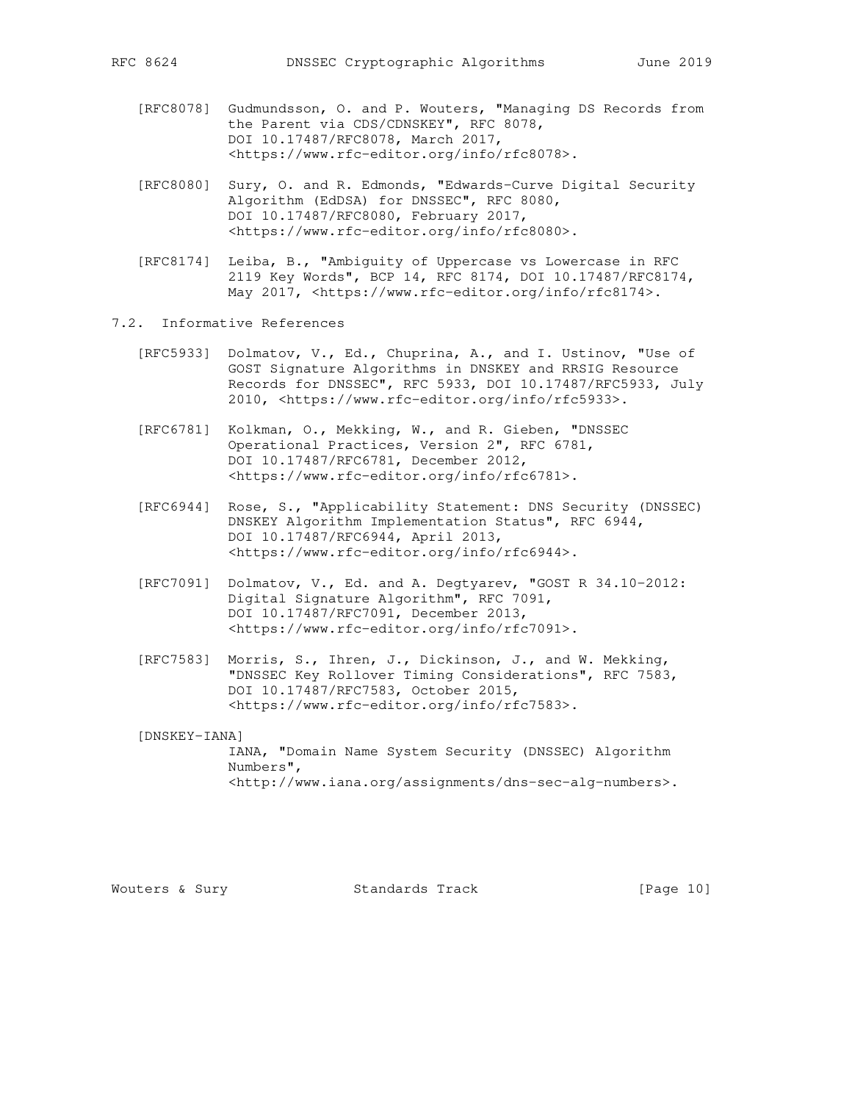- [RFC8078] Gudmundsson, O. and P. Wouters, "Managing DS Records from the Parent via CDS/CDNSKEY", RFC 8078, DOI 10.17487/RFC8078, March 2017, <https://www.rfc-editor.org/info/rfc8078>.
- [RFC8080] Sury, O. and R. Edmonds, "Edwards-Curve Digital Security Algorithm (EdDSA) for DNSSEC", RFC 8080, DOI 10.17487/RFC8080, February 2017, <https://www.rfc-editor.org/info/rfc8080>.
- [RFC8174] Leiba, B., "Ambiguity of Uppercase vs Lowercase in RFC 2119 Key Words", BCP 14, RFC 8174, DOI 10.17487/RFC8174, May 2017, <https://www.rfc-editor.org/info/rfc8174>.
- 7.2. Informative References
	- [RFC5933] Dolmatov, V., Ed., Chuprina, A., and I. Ustinov, "Use of GOST Signature Algorithms in DNSKEY and RRSIG Resource Records for DNSSEC", RFC 5933, DOI 10.17487/RFC5933, July 2010, <https://www.rfc-editor.org/info/rfc5933>.
	- [RFC6781] Kolkman, O., Mekking, W., and R. Gieben, "DNSSEC Operational Practices, Version 2", RFC 6781, DOI 10.17487/RFC6781, December 2012, <https://www.rfc-editor.org/info/rfc6781>.
	- [RFC6944] Rose, S., "Applicability Statement: DNS Security (DNSSEC) DNSKEY Algorithm Implementation Status", RFC 6944, DOI 10.17487/RFC6944, April 2013, <https://www.rfc-editor.org/info/rfc6944>.
	- [RFC7091] Dolmatov, V., Ed. and A. Degtyarev, "GOST R 34.10-2012: Digital Signature Algorithm", RFC 7091, DOI 10.17487/RFC7091, December 2013, <https://www.rfc-editor.org/info/rfc7091>.
	- [RFC7583] Morris, S., Ihren, J., Dickinson, J., and W. Mekking, "DNSSEC Key Rollover Timing Considerations", RFC 7583, DOI 10.17487/RFC7583, October 2015, <https://www.rfc-editor.org/info/rfc7583>.

[DNSKEY-IANA]

```
 IANA, "Domain Name System Security (DNSSEC) Algorithm
Numbers",
<http://www.iana.org/assignments/dns-sec-alg-numbers>.
```
Wouters & Sury Standards Track [Page 10]